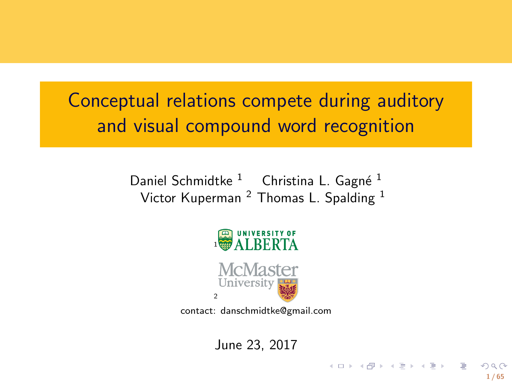Conceptual relations compete during auditory and visual compound word recognition

> Daniel Schmidtke <sup>1</sup> Christina L. Gagné <sup>1</sup> Victor Kuperman  $^2$  Thomas L. Spalding  $^1$



contact: danschmidtke@gmail.com

June 23, 2017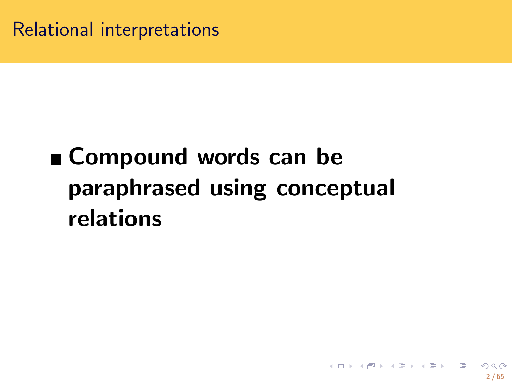Relational interpretations

**Compound words can be paraphrased using conceptual relations**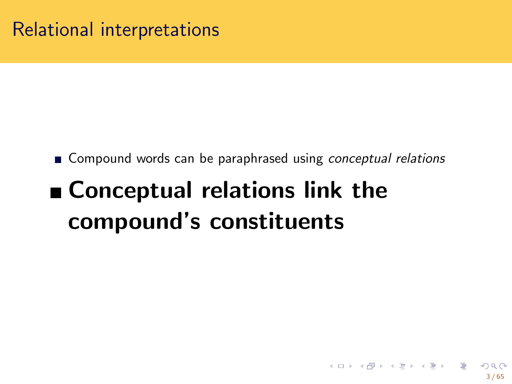Relational interpretations

- Compound words can be paraphrased using *conceptual relations*
- **Conceptual relations link the compound's constituents**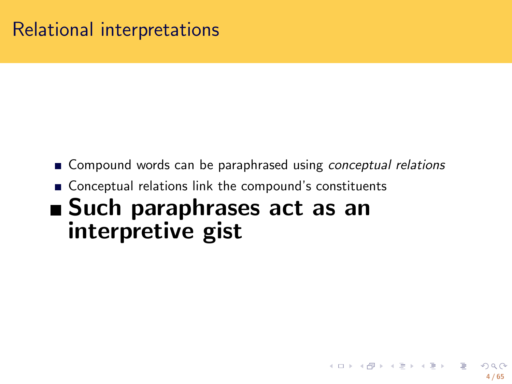## Relational interpretations

- Compound words can be paraphrased using *conceptual relations*
- Conceptual relations link the compound's constituents
- **Such paraphrases act as an interpretive gist**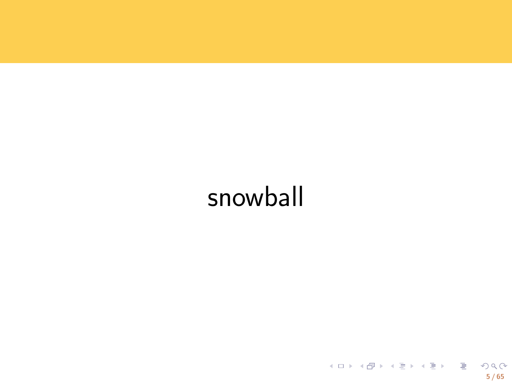snowball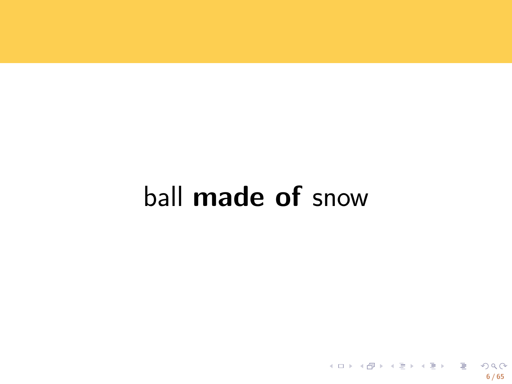ball made of snow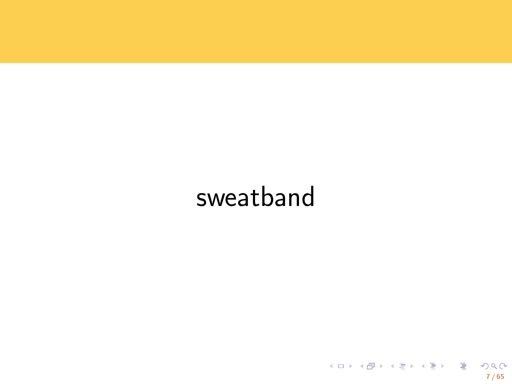# sweatband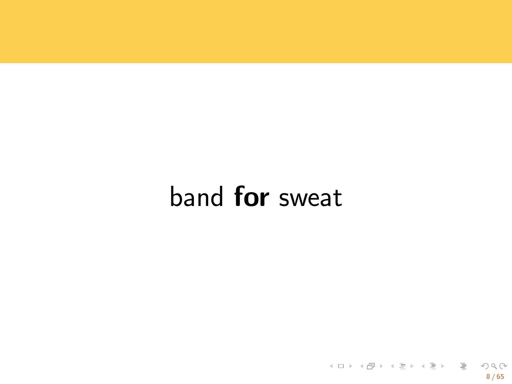band for sweat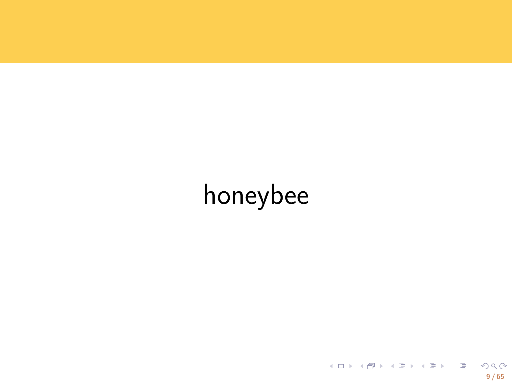# honeybee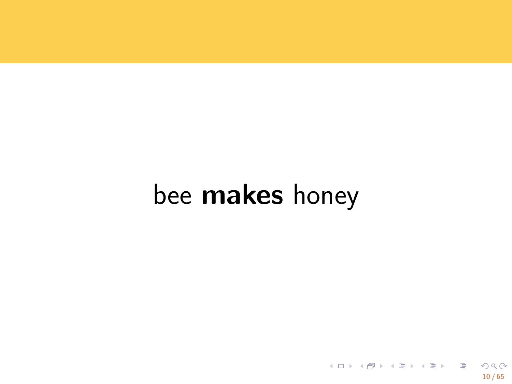bee makes honey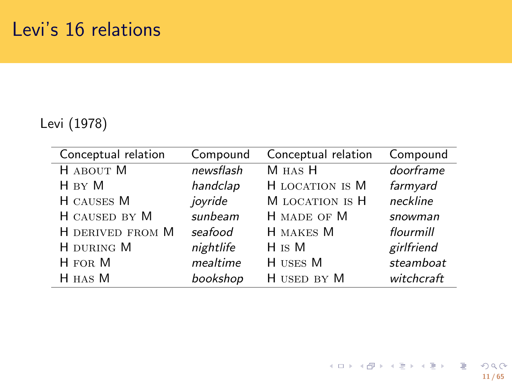# Levi's 16 relations

Levi (1978)

| Conceptual relation | Compound  | Conceptual relation | Compound   |
|---------------------|-----------|---------------------|------------|
| H ABOUT M           | newsflash | M HAS H             | doorframe  |
| H BY M              | handclap  | H LOCATION IS M     | farmyard   |
| H CAUSES M          | jovride   | M LOCATION IS H     | neckline   |
| H CAUSED BY M       | sunbeam   | H MADE OF M         | snowman    |
| H DERIVED FROM M    | seafood   | H MAKES M           | flourmill  |
| H DURING M          | nightlife | $H$ is M            | girlfriend |
| H FOR M             | mealtime  | H USES M            | steamboat  |
| H HAS M             | bookshop  | H USED BY M         | witchcraft |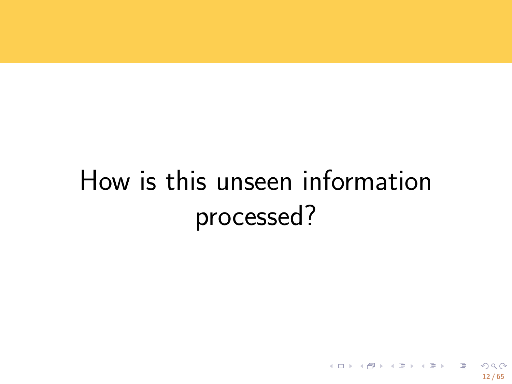How is this unseen information processed?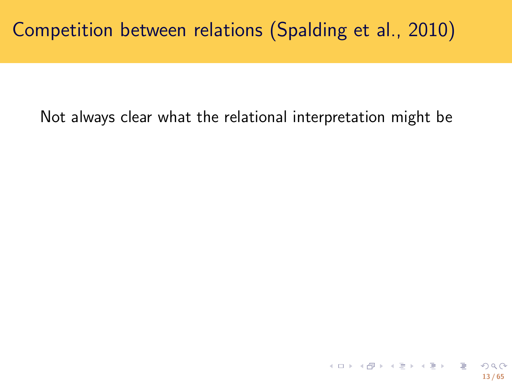Not always clear what the relational interpretation might be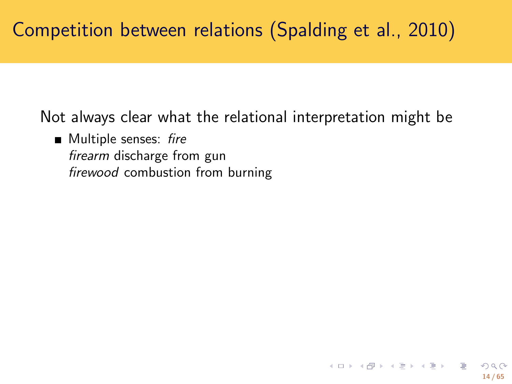Not always clear what the relational interpretation might be

Multiple senses: *fire firearm* discharge from gun *firewood* combustion from burning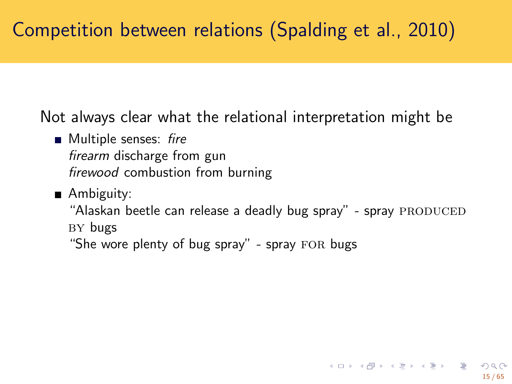Not always clear what the relational interpretation might be

- Multiple senses: *fire firearm* discharge from gun *firewood* combustion from burning
- Ambiguity: "Alaskan beetle can release a deadly bug spray" - spray PRODUCED BY bugs
	- "She wore plenty of bug spray" spray FOR bugs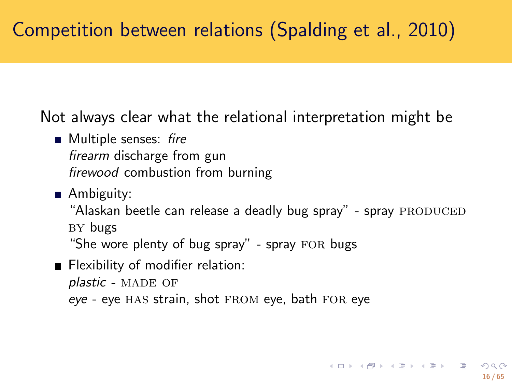Not always clear what the relational interpretation might be

- Multiple senses: *fire firearm* discharge from gun *firewood* combustion from burning
- Ambiguity: "Alaskan beetle can release a deadly bug spray" - spray PRODUCED BY bugs "She wore plenty of bug spray" - spray FOR bugs
- **Flexibility of modifier relation:** plastic - MADE OF eye - eye HAS strain, shot FROM eye, bath FOR eye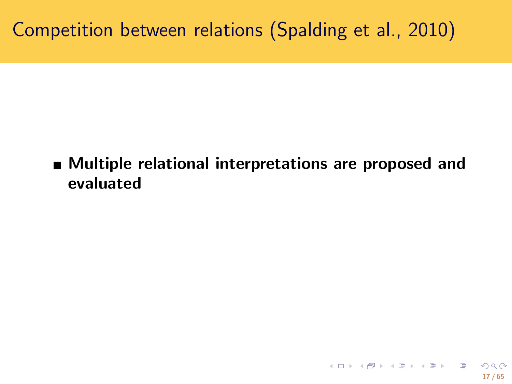**Multiple relational interpretations are proposed and evaluated**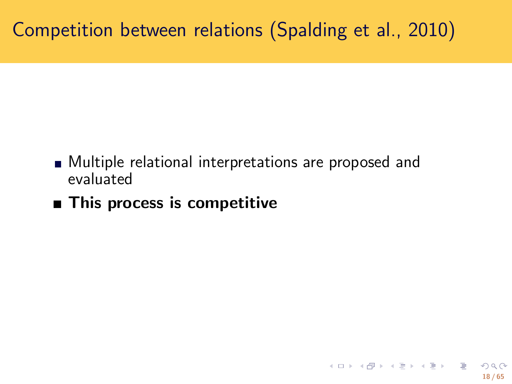- Multiple relational interpretations are proposed and evaluated
- **This process is competitive**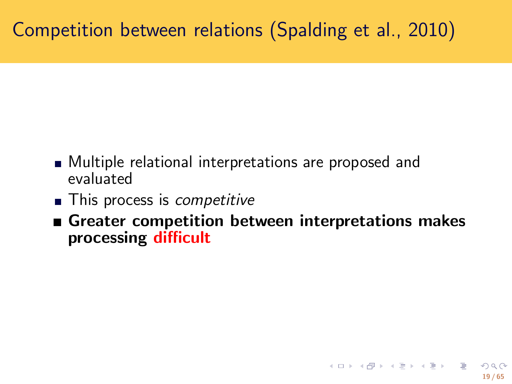- Multiple relational interpretations are proposed and evaluated
- This process is *competitive*
- **Greater competition between interpretations makes processing difficult**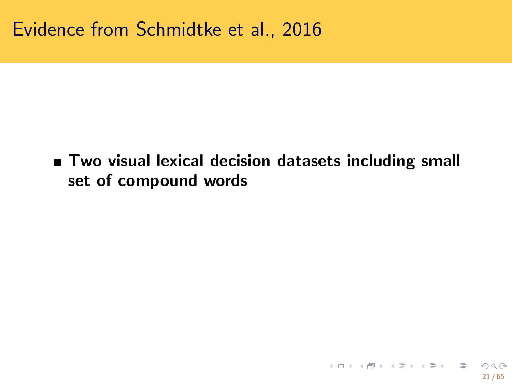**Two visual lexical decision datasets including small set of compound words**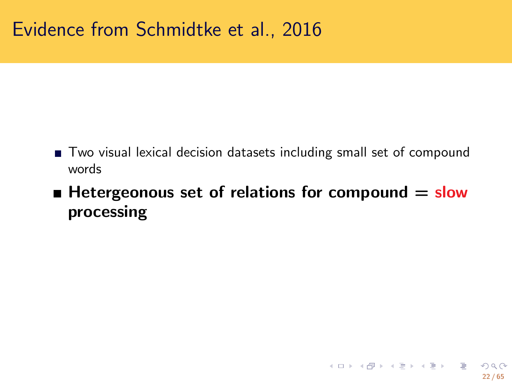- Two visual lexical decision datasets including small set of compound words
- Hetergeonous set of relations for compound = slow **processing**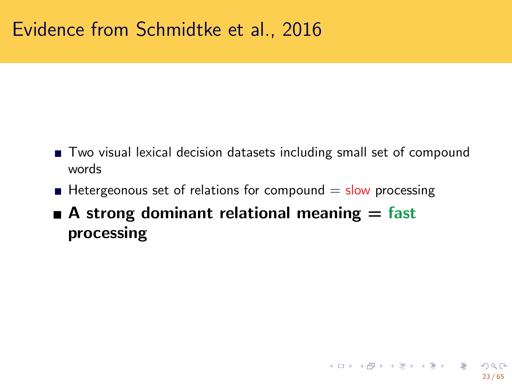- Two visual lexical decision datasets including small set of compound words
- Hetergeonous set of relations for compound  $=$  slow processing
- **A** strong dominant relational meaning = fast **processing**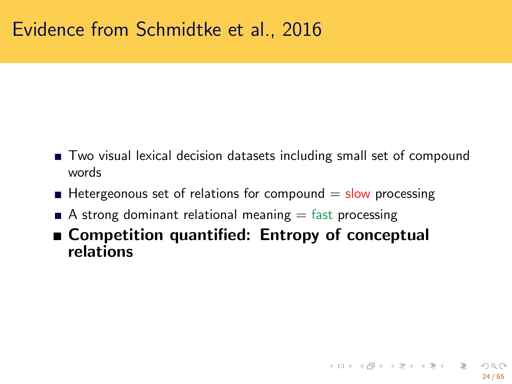- Two visual lexical decision datasets including small set of compound words
- Hetergeonous set of relations for compound  $=$  slow processing
- A strong dominant relational meaning  $=$  fast processing
- **Competition quantified: Entropy of conceptual relations**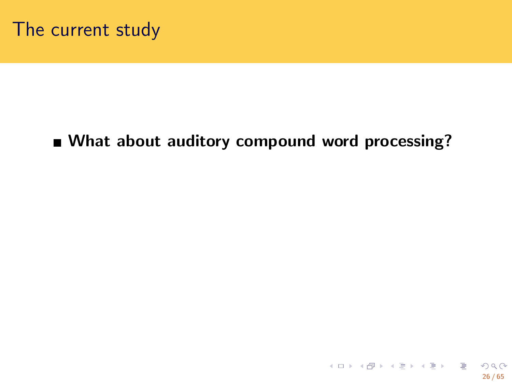**What about auditory compound word processing?**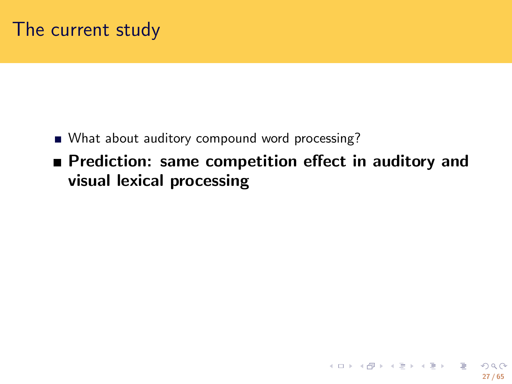- What about auditory compound word processing?
- **Prediction: same competition effect in auditory and visual lexical processing**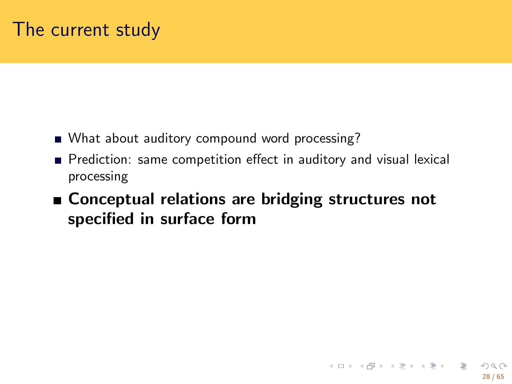- What about auditory compound word processing?
- Prediction: same competition effect in auditory and visual lexical processing
- **Conceptual relations are bridging structures not specified in surface form**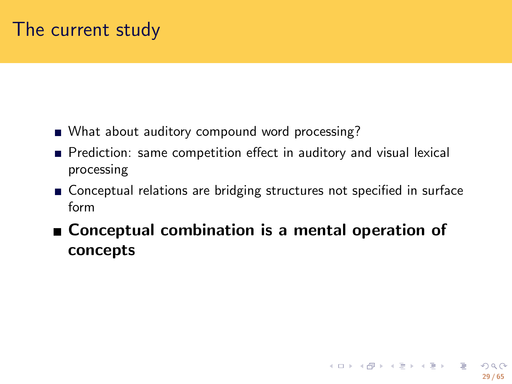- What about auditory compound word processing?
- **Prediction:** same competition effect in auditory and visual lexical processing
- Conceptual relations are bridging structures not specified in surface form
- **Conceptual combination is a mental operation of concepts**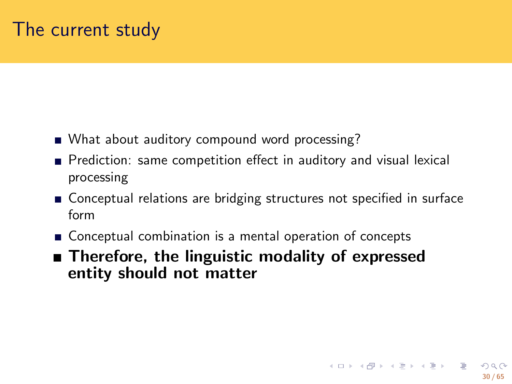- What about auditory compound word processing?
- **Prediction:** same competition effect in auditory and visual lexical processing
- Conceptual relations are bridging structures not specified in surface form
- Conceptual combination is a mental operation of concepts
- $\blacksquare$  Therefore, the linguistic modality of expressed **entity should not matter**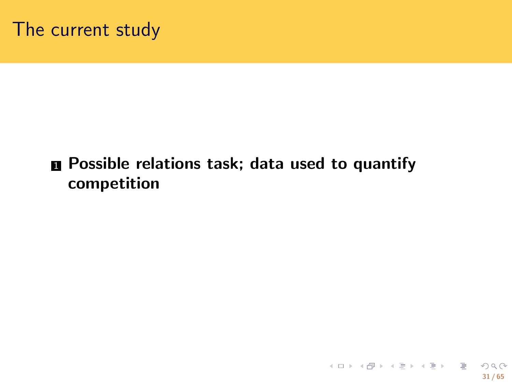$\blacksquare$  Possible relations task; data used to quantify **competition**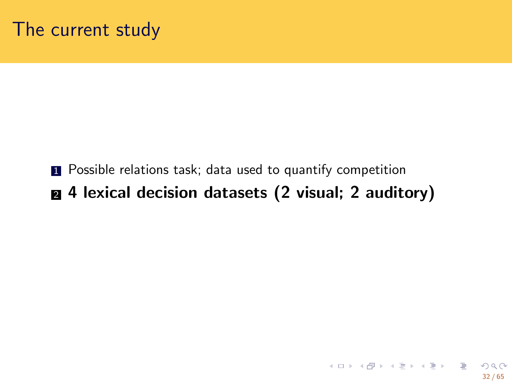- **1** Possible relations task; data used to quantify competition
- <sup>2</sup> **4 lexical decision datasets (2 visual; 2 auditory)**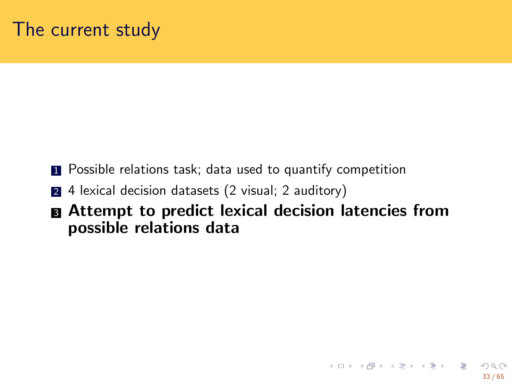- **1** Possible relations task; data used to quantify competition
- 2 4 lexical decision datasets (2 visual; 2 auditory)
- <sup>3</sup> **Attempt to predict lexical decision latencies from possible relations data**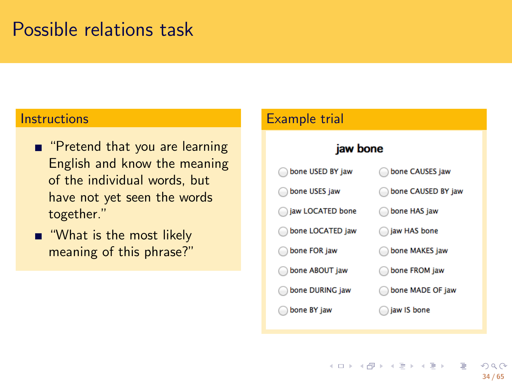#### Possible relations task

#### **Instructions**

- **n** "Pretend that you are learning English and know the meaning of the individual words, but have not yet seen the words together."
- **"** "What is the most likely meaning of this phrase?"

#### Example trial

#### jaw bone

| bone USED BY jaw | bone CAUSES jaw    |
|------------------|--------------------|
| bone USES jaw    | bone CAUSED BY jaw |
| aw LOCATED bone  | bone HAS jaw       |
| bone LOCATED jaw | iaw HAS bone       |
| bone FOR jaw     | bone MAKES jaw     |
| bone ABOUT jaw   | bone FROM jaw      |
| bone DURING jaw  | bone MADE OF jaw   |
| bone BY jaw      | jaw IS bone        |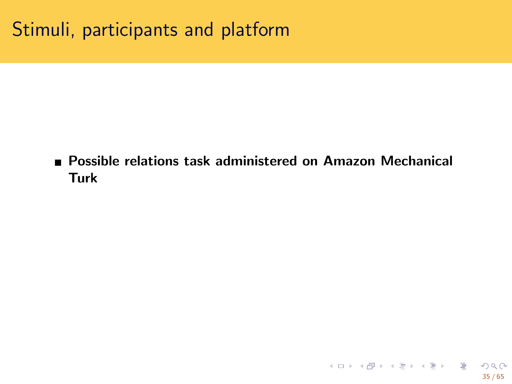**Possible relations task administered on Amazon Mechanical Turk**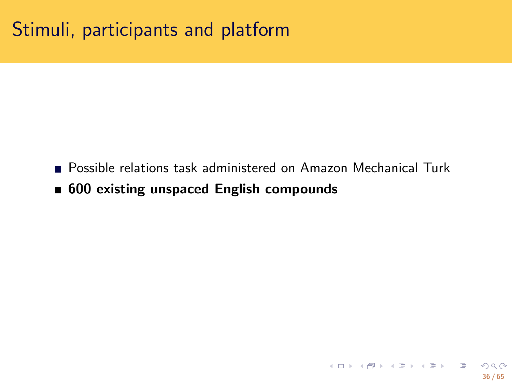- Possible relations task administered on Amazon Mechanical Turk
- **600 existing unspaced English compounds**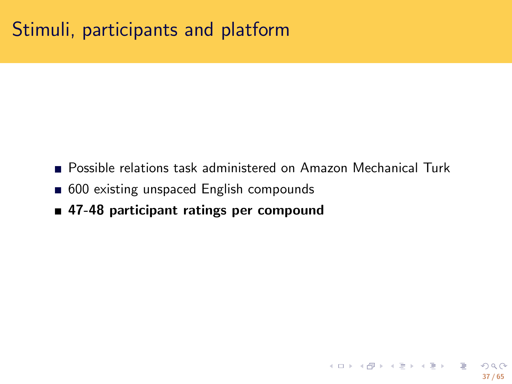- **Possible relations task administered on Amazon Mechanical Turk**
- 600 existing unspaced English compounds
- **47-48 participant ratings per compound**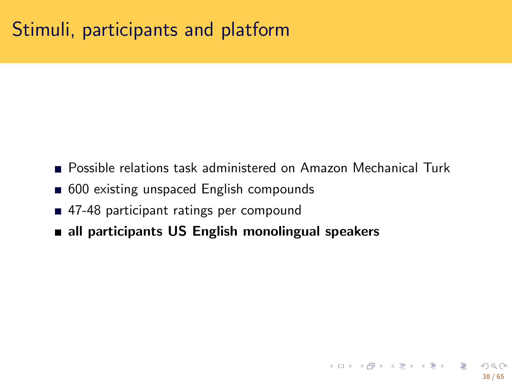- **Possible relations task administered on Amazon Mechanical Turk**
- 600 existing unspaced English compounds
- 47-48 participant ratings per compound
- **all participants US English monolingual speakers**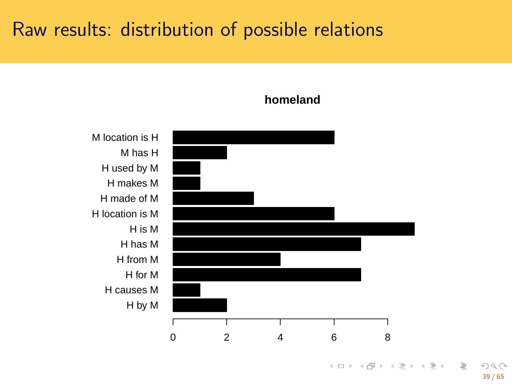# Raw results: distribution of possible relations



#### **homeland**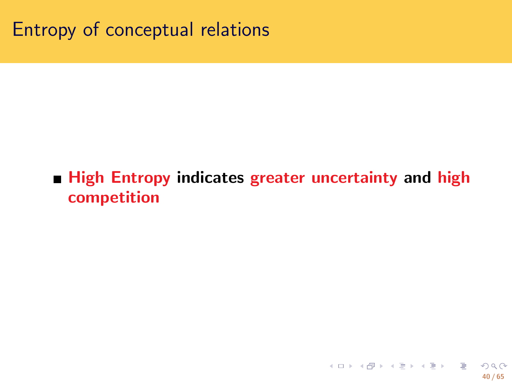Entropy of conceptual relations

**High Entropy indicates greater uncertainty and high competition**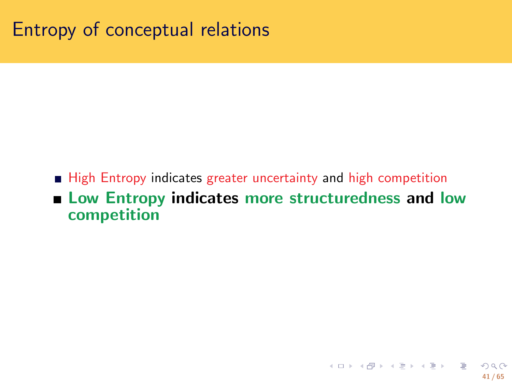Entropy of conceptual relations

- High Entropy indicates greater uncertainty and high competition
- **Low Entropy indicates more structuredness and low competition**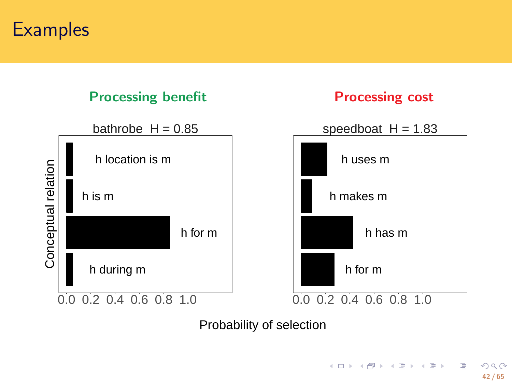# **Examples**

#### **Processing benefit Processing cost**



Probability of selection

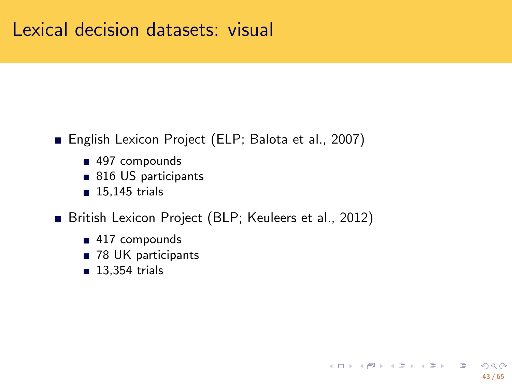#### Lexical decision datasets: visual

- English Lexicon Project (ELP; Balota et al., 2007)
	- 497 compounds
	- 816 US participants
	- $15,145$  trials
- British Lexicon Project (BLP; Keuleers et al., 2012)
	- 417 compounds
	- 78 UK participants
	- **13,354 trials**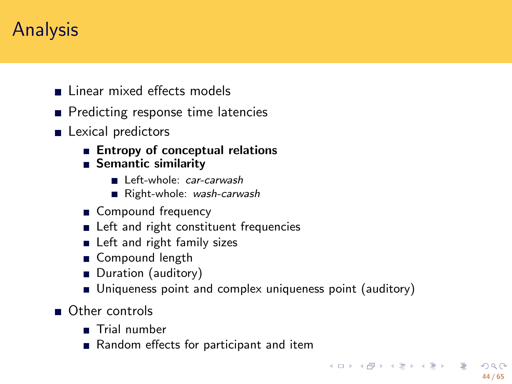# Analysis

- **Linear mixed effects models**
- Predicting response time latencies
- **Lexical predictors** 
	- **Entropy of conceptual relations**
	- **Semantic similarity**
		- Left-whole: *car-carwash*
		- Right-whole: *wash-carwash*
	- Compound frequency
	- **Execute 1** Left and right constituent frequencies
	- **Left and right family sizes**
	- Gompound length
	- Duration (auditory)
	- Uniqueness point and complex uniqueness point (auditory)
- Other controls
	- **Trial number**
	- Random effects for participant and item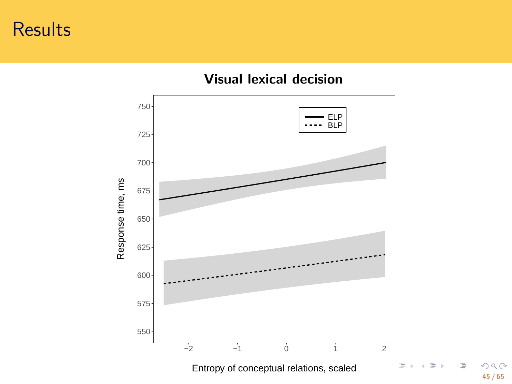# Results



**45 / 65**

**Visual lexical decision**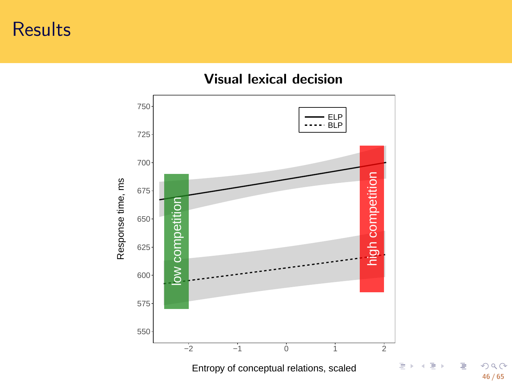# Results



**46 / 65**

**Visual lexical decision**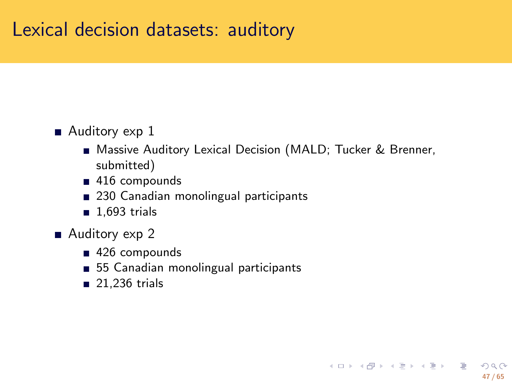# Lexical decision datasets: auditory

- Auditory exp 1
	- Massive Auditory Lexical Decision (MALD; Tucker & Brenner, submitted)
	- 416 compounds
	- 230 Canadian monolingual participants
	- $1,693$  trials
- Auditory exp 2
	- 426 compounds
	- 55 Canadian monolingual participants
	- 21,236 trials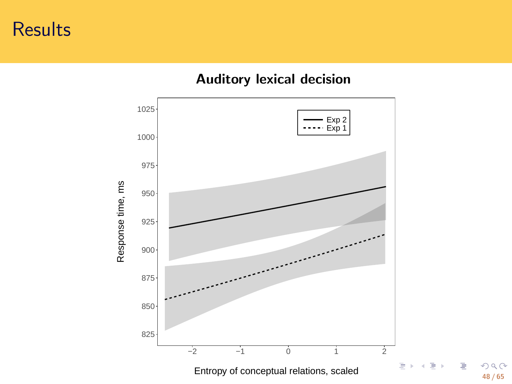# Results



**Auditory lexical decision**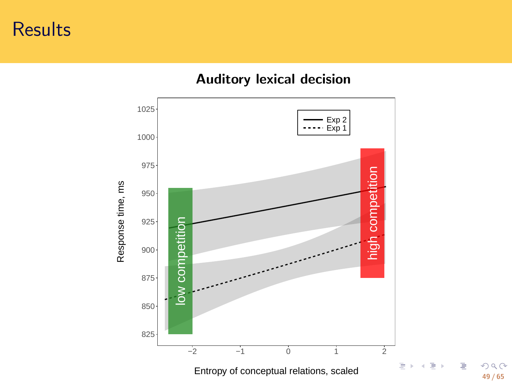# Results



**Auditory lexical decision**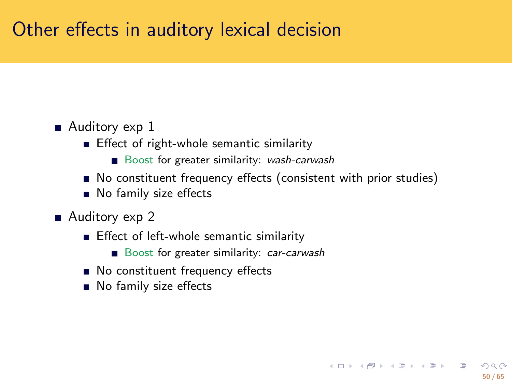# Other effects in auditory lexical decision

- Auditory exp 1
	- **Effect of right-whole semantic similarity** 
		- Boost for greater similarity: *wash-carwash*
	- $\blacksquare$  No constituent frequency effects (consistent with prior studies)
	- No family size effects
- Auditory exp 2
	- **Effect of left-whole semantic similarity** 
		- Boost for greater similarity: *car-carwash*
	- No constituent frequency effects
	- No family size effects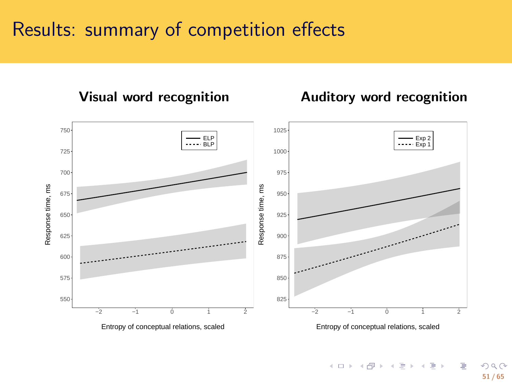# Results: summary of competition effects



#### **Visual word recognition Auditory word recognition**

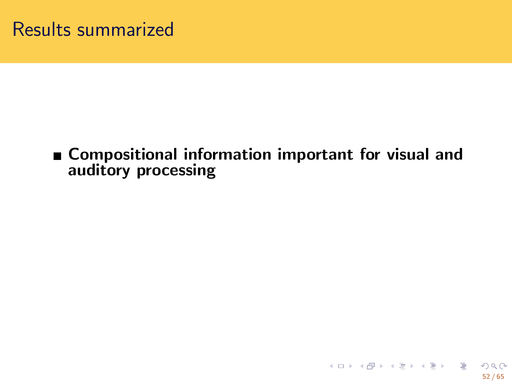**Compositional information important for visual and auditory processing**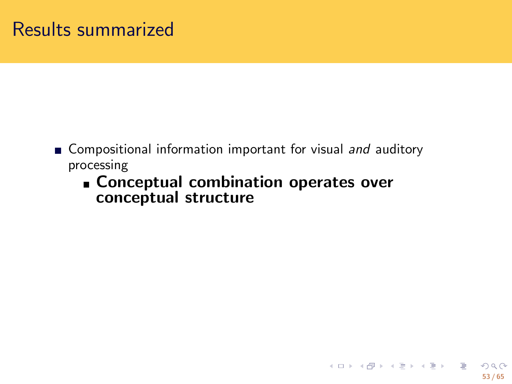- Compositional information important for visual *and* auditory processing
	- **Conceptual combination operates over conceptual structure**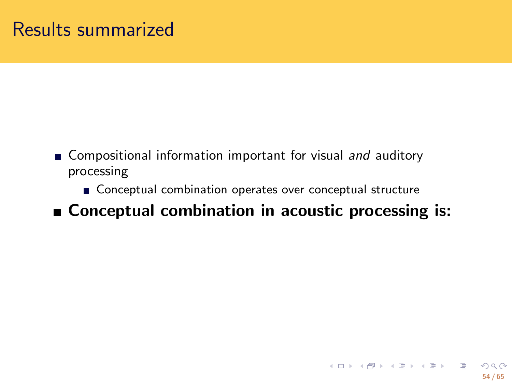- Compositional information important for visual *and* auditory processing
	- Conceptual combination operates over conceptual structure
- **Conceptual combination in acoustic processing is:**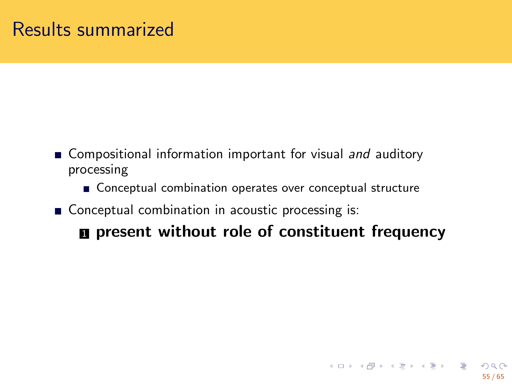- Compositional information important for visual *and* auditory processing
	- **Conceptual combination operates over conceptual structure**
- $\blacksquare$  Conceptual combination in acoustic processing is:

<sup>1</sup> **present without role of constituent frequency**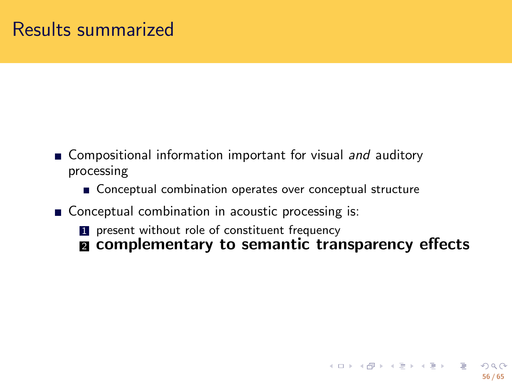- Compositional information important for visual *and* auditory processing
	- Conceptual combination operates over conceptual structure
- **Conceptual combination in acoustic processing is: 1** present without role of constituent frequency
	- <sup>2</sup> **complementary to semantic transparency effects**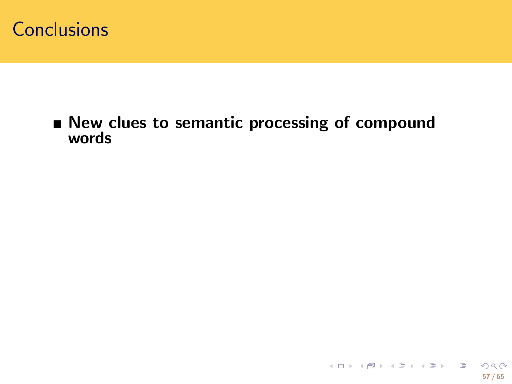**New clues to semantic processing of compound words**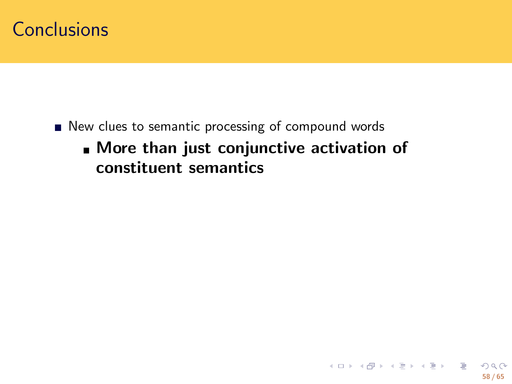- New clues to semantic processing of compound words
	- **More than just conjunctive activation of constituent semantics**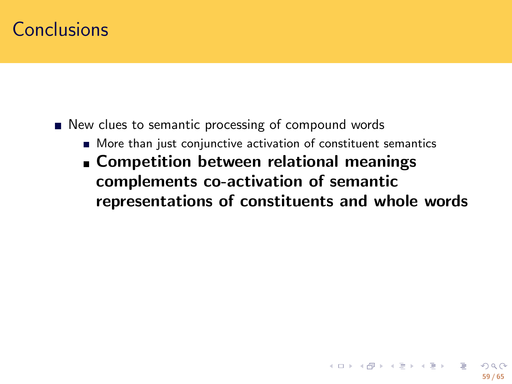- New clues to semantic processing of compound words
	- More than just conjunctive activation of constituent semantics
	- **Competition between relational meanings complements co-activation of semantic representations of constituents and whole words**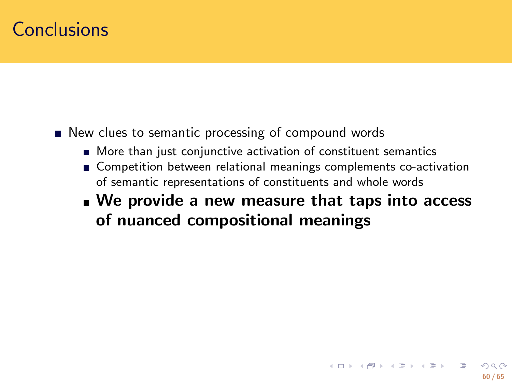- New clues to semantic processing of compound words
	- More than just conjunctive activation of constituent semantics
	- **Competition between relational meanings complements co-activation** of semantic representations of constituents and whole words
	- **We provide a new measure that taps into access of nuanced compositional meanings**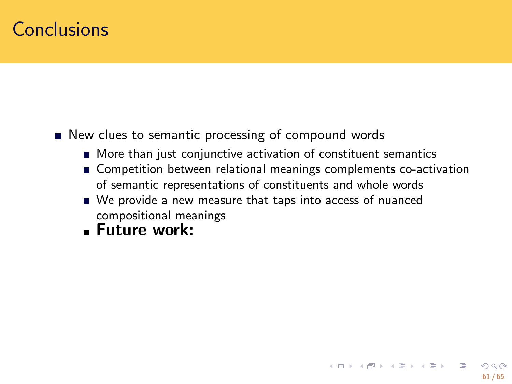- New clues to semantic processing of compound words
	- **More than just conjunctive activation of constituent semantics**
	- Competition between relational meanings complements co-activation of semantic representations of constituents and whole words
	- We provide a new measure that taps into access of nuanced compositional meanings
	- **Future work:**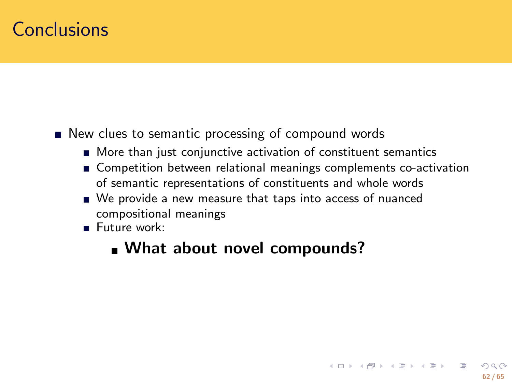- **New clues to semantic processing of compound words** 
	- More than just conjunctive activation of constituent semantics
	- Competition between relational meanings complements co-activation of semantic representations of constituents and whole words
	- We provide a new measure that taps into access of nuanced compositional meanings
	- Future work:
		- **What about novel compounds?**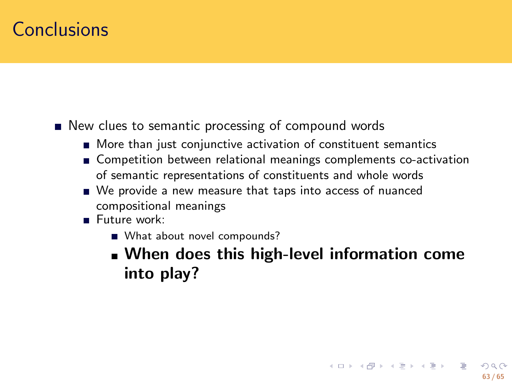- New clues to semantic processing of compound words
	- More than just conjunctive activation of constituent semantics
	- **Competition between relational meanings complements co-activation** of semantic representations of constituents and whole words
	- We provide a new measure that taps into access of nuanced compositional meanings
	- Future work:
		- What about novel compounds?
		- **When does this high-level information come into play?**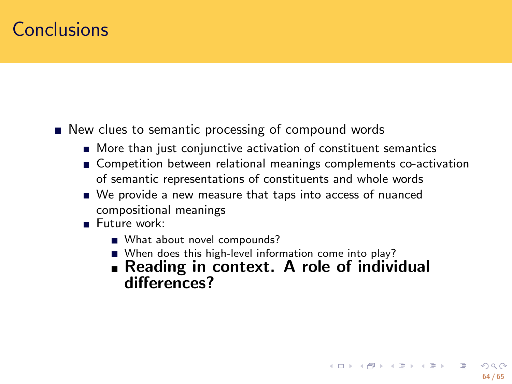- New clues to semantic processing of compound words
	- More than just conjunctive activation of constituent semantics
	- **Competition between relational meanings complements co-activation** of semantic representations of constituents and whole words
	- We provide a new measure that taps into access of nuanced compositional meanings
	- Future work:
		- What about novel compounds?
		- When does this high-level information come into play?
		- **Reading in context. A role of individual differences?**